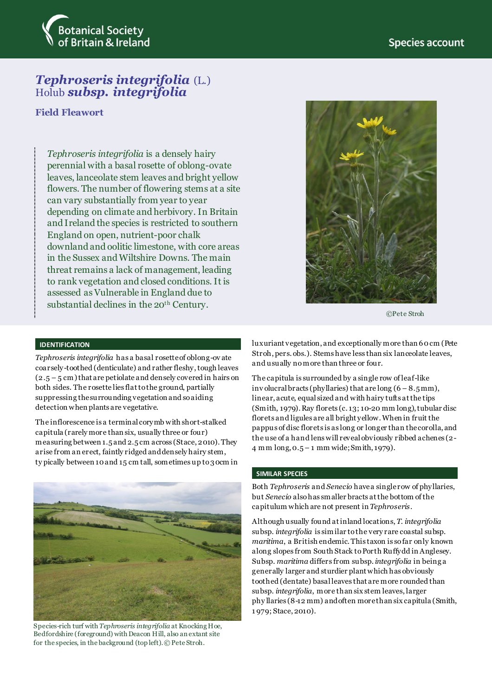

# *Tephroseris integrifolia* (L.) Holub *subsp. integrifolia*

## **Field Fleawort**

*Tephroseris integrifolia* is a densely hairy perennial with a basal rosette of oblong-ovate leaves, lanceolate stem leaves and bright yellow flowers. The number of flowering stems at a site can vary substantially from year to year depending on climate and herbivory. In Britain and Ireland the species is restricted to southern England on open, nutrient-poor chalk downland and oolitic limestone, with core areas in the Sussex and Wiltshire Downs. The main threat remains a lack of management, leading to rank vegetation and closed conditions. It is assessed as Vulnerable in England due to substantial declines in the 20<sup>th</sup> Century.



©Pete Stroh

#### **IDENTIFICATION**

*Tephroseris integrifolia* has a basal rosette of oblong-ov ate coarsely-toothed (denticulate) and rather fleshy, tough leaves  $(2.5 - 5$  cm) that are petiolate and densely covered in hairs on both sides. The rosette lies flat to the ground, partially suppressing the surrounding vegetation and so aiding detection when plants are vegetative.

The inflorescence is a terminal corymb with short-stalked capitula (rarely more than six, usually three or four) measuring between 1.5 and 2.5 cm across (Stace, 2010). They arise from an erect, faintly ridged and densely hairy stem, ty pically between 10 and 15 cm tall, sometimes up to 30cm in



Species-rich turf with *Tephroseris integrifolia* at Knocking Hoe, Bedfordshire (foreground) with Deacon Hill, also an extant site for the species, in the background (top left).© Pete Stroh.

luxuriant vegetation, and exceptionally more than 60cm (Pete Stroh, pers. obs.). Stems have less than six lanceolate leaves, and usually no more than three or four.

The capitula is surrounded by a single row of leaf-like inv olucral bracts (phyllaries) that are long  $(6 - 8.5 \text{ mm})$ , linear, acute, equal sized and with hairy tufts at the tips (Smith, 1979). Ray florets (c. 13; 10-20 mm long), tubular disc florets and ligules are all bright yellow. When in fruit the pappus of disc florets is as long or longer than the corolla, and the use of a hand lens will reveal obviously ribbed achenes (2- 4 mm long, 0.5 – 1 mm wide; Smith, 1979).

#### **SIMILAR SPECIES**

Both *Tephroseris* and *Senecio* have a single row of phyllaries, but *Senecio* also has smaller bracts at the bottom of the capitulum which are not present in *Tephroseris*.

Although usually found at inland locations, *T. integrifolia* subsp. *integrifolia* is similar to the very rare coastal subsp. *maritima*, a British endemic. This taxon is so far only known along slopes from South Stack to Porth Ruffydd in Anglesey. Subsp. *maritima* differs from subsp. *integrifolia* in being a generally larger and sturdier plant which has obviously toothed (dentate) basal leaves that are more rounded than subsp. *integrifolia*, more than six stem leaves, larger phy llaries (8-12 mm) and often more than six capitula (Smith, 1 979; Stace, 2010).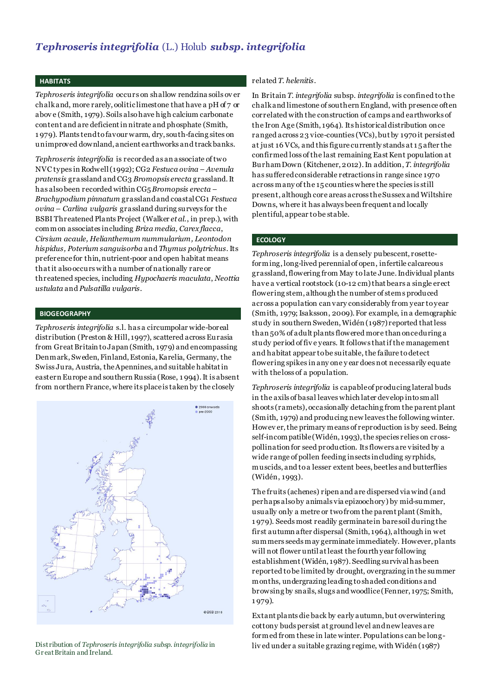## *Tephroseris integrifolia* (L.) Holub *subsp. integrifolia*

#### **HABITATS**

*Tephroseris integrifolia* occurs on shallow rendzina soils ov er chalk and, more rarely, oolitic limestone that have a pH of 7 or abov e (Smith, 1979). Soils also have high calcium carbonate content and are deficient in nitrate and phosphate (Smith, 1 979). Plants tend to favour warm, dry, south-facing sites on unimproved downland, ancient earthworks and track banks.

*Tephroseris integrifolia* is recorded as an associate of two NVC types in Rodwell (1992); CG2 *Festuca ovina – Avenula pratensis* grassland and CG3 *Bromopsis erecta* grassland. It has also been recorded within CG5 *Bromopsis erecta – Brachypodium pinnatum* grassland and coastal CG1 *Festuca ovina – Carlina vulgaris* grassland during surveys for the BSBI Threatened Plants Project (Walker *et al*., in prep.), with common associates including *Briza media, Carex flacca*, *Cirsium acaule, Helianthemum nummularium, Leontodon hispidus, Poterium sanguisorba* and *Thymus polytrichus.* Its preference for thin, nutrient-poor and open habitat means that it also occurs with a number of nationally rare or threatened species, including *Hypochaeris maculata*, *Neottia ustulata* and *Pulsatilla vulgaris.* 

## **BIOGEOGRAPHY**

*Tephroseris integrifolia* s.l. has a circumpolar wide-boreal distribution (Preston & Hill, 1997), scattered across Eurasia from Great Britain to Japan (Smith, 1979) and encompassing Denmark, Sweden, Finland, Estonia, Karelia, Germany, the Swiss Jura, Austria, the Apennines, and suitable habitat in eastern Europe and southern Russia (Rose, 1 994). It is absent from northern France, where its place is taken by the closely



Gr eat Britain and Ireland.

#### related *T. helenitis*.

In Britain *T. integrifolia* subsp*. integrifolia* is confined to the chalk and limestone of southern England, with presence often correlated with the construction of camps and earthworks of the Iron Age (Smith, 1964). Its historical distribution once ranged across 23 vice-counties (VCs), but by 1970 it persisted at just 16 VCs, and this figure currently stands at 1 5 after the confirmed loss of the last remaining East Kent population at Burham Down (Kitchener, 2012). In addition, *T. integrifolia* has suffered considerable retractions in range since 1970 across many of the 15 counties where the species is still present, although core areas across the Sussex and Wiltshire Downs, where it has always been frequent and locally plentiful, appear to be stable.

#### **ECOLOGY**

*Tephroseris integrifolia* is a densely pubescent, rosetteforming, long-lived perennial of open, infertile calcareous grassland, flowering from May to late June. Individual plants have a vertical rootstock (10-12 cm) that bears a single erect flowering stem, although the number of stems produced across a population can vary considerably from year to year (Smith, 1979; Isaksson, 2009). For example, in a demographic study in southern Sweden,Widén (1987) reported that less than 50% of adult plants flowered more than once during a study period of fiv e years. It follows that if the management and habitat appear to be suitable, the failure to detect flowering spikes in any one y ear does not necessarily equate with the loss of a population.

*Tephroseris integrifolia* is capable of producing lateral buds in the axils of basal leaves which later develop into small shoots (ramets), occasionally detaching from the parent plant (Smith, 1979) and producing new leaves the following winter. Howev er, the primary means of reproduction is by seed. Being self-incompatible (Widén, 1993), the species relies on crosspollination for seed production. Its flowers are visited by a wide range of pollen feeding insects including syrphids, muscids, and to a lesser extent bees, beetles and butterflies (Widén, 1993).

The fruits (achenes) ripen and are dispersed via wind (and perhaps also by animals via epizoochory) by mid-summer, usually only a metre or two from the parent plant (Smith, 1 979). Seeds most readily germinate in bare soil during the first autumn after dispersal (Smith, 1964), although in wet summers seeds may germinate immediately. However, plants will not flower until at least the fourth year following establishment (Widén, 1987). Seedling survival has been reported to be limited by drought, overgrazing in the summer months, undergrazing leading to shaded conditions and browsing by snails, slugs and woodlice (Fenner, 1975; Smith, 1 979).

Extant plants die back by early autumn, but overwintering cottony buds persist at ground level and new leaves are formed from these in late winter. Populations can be long-Distribution of Tephroseris integrifolia subsp. integrifolia in *I* ived under a suitable grazing regime, with Widén (1987)